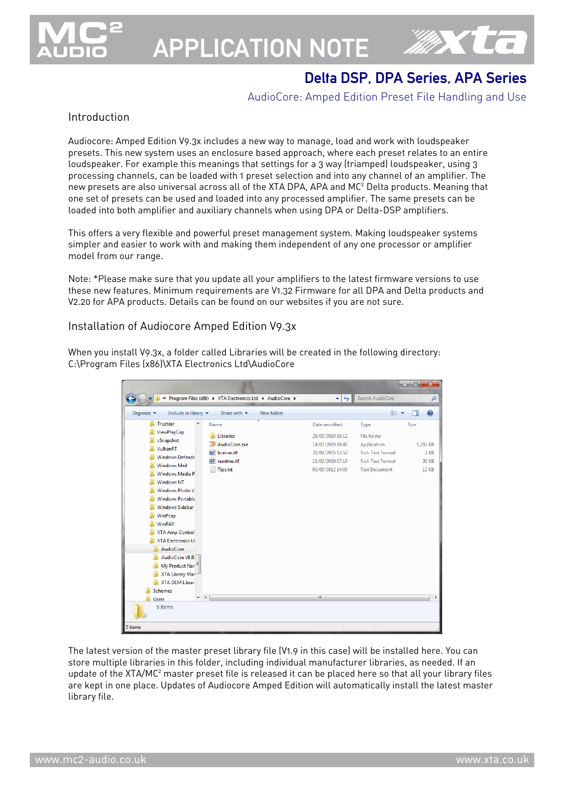

# APPLICATION NOTE



# Delta DSP, DPA Series, APA Series

#### AudioCore: Amped Edition Preset File Handling and Use

#### Introduction

Audiocore: Amped Edition V9.3x includes a new way to manage, load and work with loudspeaker presets. This new system uses an enclosure based approach, where each preset relates to an entire loudspeaker. For example this meanings that settings for a 3 way (triamped) loudspeaker, using 3 processing channels, can be loaded with 1 preset selection and into any channel of an amplifier. The new presets are also universal across all of the XTA DPA, APA and MC<sup>2</sup> Delta products. Meaning that one set of presets can be used and loaded into any processed amplifier. The same presets can be loaded into both amplifier and auxiliary channels when using DPA or Delta-DSP amplifiers.

This offers a very flexible and powerful preset management system. Making loudspeaker systems simpler and easier to work with and making them independent of any one processor or amplifier model from our range.

Note: \*Please make sure that you update all your amplifiers to the latest firmware versions to use these new features. Minimum requirements are V1.32 Firmware for all DPA and Delta products and V2.20 for APA products. Details can be found on our websites if you are not sure.

#### Installation of Audiocore Amped Edition V9.3x

When you install V9.3x, a folder called Libraries will be created in the following directory: C:\Program Files (x86)\XTA Electronics Ltd\AudioCore

|                                                                                                                                                                                                                                                                                                                                                                                                                                                                                               |                                                                                                           |                                                                                                                         |                                                                                                                  | a et<br>$\mathbf{x}$                              |
|-----------------------------------------------------------------------------------------------------------------------------------------------------------------------------------------------------------------------------------------------------------------------------------------------------------------------------------------------------------------------------------------------------------------------------------------------------------------------------------------------|-----------------------------------------------------------------------------------------------------------|-------------------------------------------------------------------------------------------------------------------------|------------------------------------------------------------------------------------------------------------------|---------------------------------------------------|
|                                                                                                                                                                                                                                                                                                                                                                                                                                                                                               | « Program Files (x86) > XTA Electronics Ltd > AudioCore >                                                 | $\mathbf{v}$ $\mathbf{t}$                                                                                               | Search AudioCore                                                                                                 | Q                                                 |
| Organize $\blacktriangledown$<br>Include in library $\blacktriangledown$                                                                                                                                                                                                                                                                                                                                                                                                                      | New folder<br>Share with $\blacktriangledown$                                                             |                                                                                                                         | 988 ▼                                                                                                            | $\circledR$<br>FΠ                                 |
| Trusteer<br>▲<br>ViewPlayCap<br>vSnapshot<br>VulkanRT<br><b>Windows Defende</b><br><b>Windows Mail</b><br><b>Windows Media P</b><br><b>Windows NT</b><br><b>Windows Photo V</b><br><b>Windows Portable</b><br><b>Windows Sidebar</b><br>WinPcap<br>WinRAR<br><b>XTA Amp Control</b><br><b>XTA Electronics Lt</b><br><b>AudioCore</b><br>AudioCore V8.9:<br>My Product Nar<br>XTA Library Mar<br><b>XTA OEM Librar</b><br>Schemes<br>$\rightarrow$<br>$\overline{\phantom{a}}$<br><b>Users</b> | Name<br><b>Libraries</b><br>AudioCore.exe<br><b>ME</b><br>license.rtf<br>厛<br>readme.rtf<br>₽<br>Tips.txt | Date modified<br>28/03/2019 10:12<br>14/03/2019 10:40<br>21/09/2005 13:52<br>11/03/2019 17:16<br>03/09/2012 14:03<br>m. | Type<br>File folder<br>Application<br><b>Rich Text Format</b><br><b>Rich Text Format</b><br><b>Text Document</b> | Size<br>5,292 KB<br>2 KB<br>36 KB<br><b>12 KB</b> |
| 5 items                                                                                                                                                                                                                                                                                                                                                                                                                                                                                       |                                                                                                           |                                                                                                                         |                                                                                                                  |                                                   |
| 5 items                                                                                                                                                                                                                                                                                                                                                                                                                                                                                       |                                                                                                           |                                                                                                                         |                                                                                                                  |                                                   |

The latest version of the master preset library file (V1.9 in this case) will be installed here. You can store multiple libraries in this folder, including individual manufacturer libraries, as needed. If an update of the XTA/MC<sup>2</sup> master preset file is released it can be placed here so that all your library files are kept in one place. Updates of Audiocore Amped Edition will automatically install the latest master library file.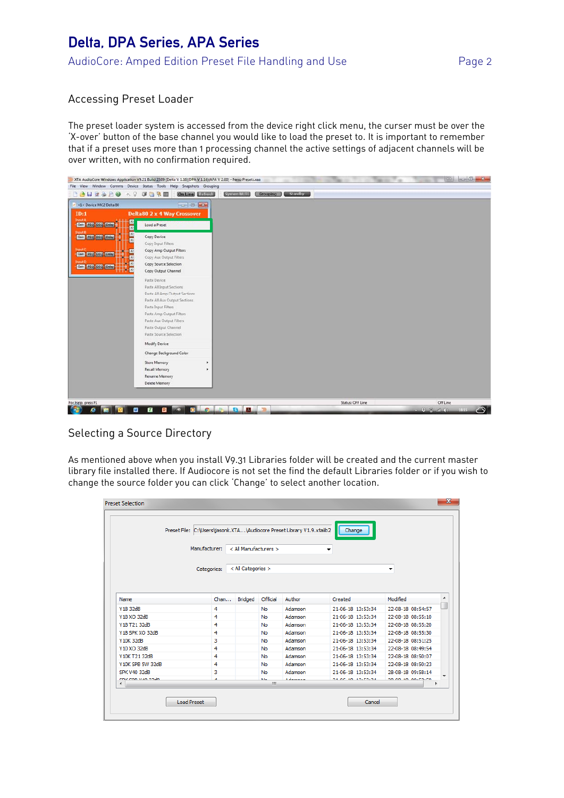## Delta, DPA Series, APA Series AudioCore: Amped Edition Preset File Handling and Use Page 2

#### Accessing Preset Loader

The preset loader system is accessed from the device right click menu, the curser must be over the 'X-over' button of the base channel you would like to load the preset to. It is important to remember that if a preset uses more than 1 processing channel the active settings of adjacent channels will be over written, with no confirmation required.



#### Selecting a Source Directory

As mentioned above when you install V9.31 Libraries folder will be created and the current master library file installed there. If Audiocore is not set the find the default Libraries folder or if you wish to change the source folder you can click 'Change' to select another location.

|                     | Preset File: C:\Users\jasonk.XTA\Audiocore Preset Library V1.9.xtalib2 |                       |            |               | Change                    |                   |
|---------------------|------------------------------------------------------------------------|-----------------------|------------|---------------|---------------------------|-------------------|
|                     | Manufacturer:                                                          | < All Manufacturers > |            |               | ▼                         |                   |
|                     | Categories:                                                            | < All Categories >    |            |               |                           | ▼                 |
| Name                | Chan                                                                   | <b>Bridged</b>        | Official   | Author        | Created                   | Modified          |
| Y18 32dB            | 4                                                                      |                       | No         | Adamson       | 21-06-18 13:53:34         | 22-08-18 08:54:57 |
| Y18 XO 32dB         | 4                                                                      |                       | No         | Adamson       | 21-06-18 13:53:34         | 22-08-18 08:55:10 |
| Y18 T21 32dB        | 4                                                                      |                       | No         | Adamson       | 21-06-18 13:53:34         | 22-08-18 08:55:20 |
| Y18 SPK XO 32dB     | 4                                                                      |                       | No         | Adamson       | 21-06-18 13:53:34         | 22-08-18 08:55:30 |
| Y10K 32dB           | 3                                                                      |                       | <b>No</b>  | Adamson       | 21-06-18 13:53:34         | 22-08-18 08:51:25 |
| Y10 XO 32dB         | 4                                                                      |                       | No         | Adamson       | 21-06-18 13:53:34         | 22-08-18 08:49:54 |
| Y10K T21 32dB       | 4                                                                      |                       | No         | Adamson       | 21-06-18 13:53:34         | 22-08-18 08:50:07 |
| Y10K SPB 5W 32dB    | 4                                                                      |                       | No         | Adamson       | 21-06-18 13:53:34         | 22-08-18 08:50:23 |
| <b>SPK V40 32dB</b> | 3                                                                      |                       | No         | Adamson       | 21-06-18 13:53:34         | 28-08-18 09:58:14 |
| coir con uso podo.  | $\mathbf{A}$                                                           |                       | Mar.<br>m. | A description | <b>DE 06.30.30-FO-04.</b> | 30.00.30.00-F9-F9 |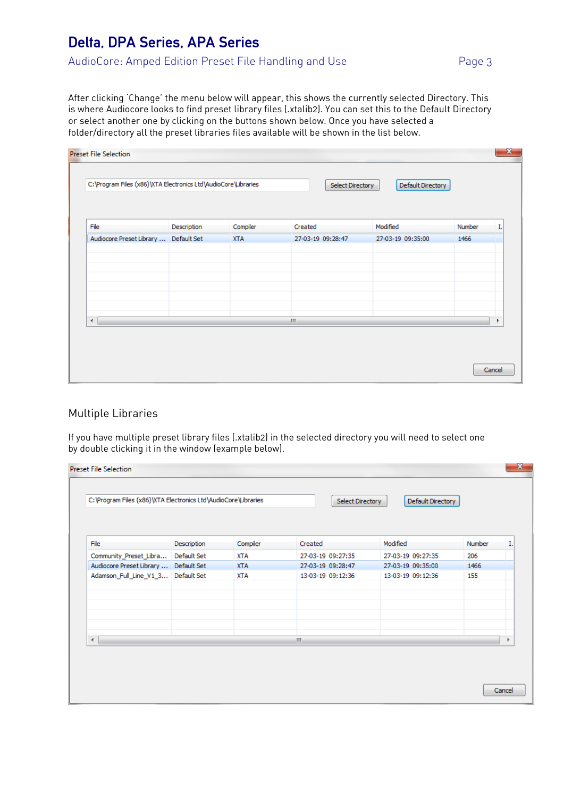# Delta, DPA Series, APA Series

After clicking 'Change' the menu below will appear, this shows the currently selected Directory. This is where Audiocore looks to find preset library files (.xtalib2). You can set this to the Default Directory or select another one by clicking on the buttons shown below. Once you have selected a folder/directory all the preset libraries files available will be shown in the list below.

| File                                  | Description | Compiler   | Created                            | Modified          | Number |  |
|---------------------------------------|-------------|------------|------------------------------------|-------------------|--------|--|
| Audiocore Preset Library  Default Set |             | <b>XTA</b> | 27-03-19 09:28:47                  | 27-03-19 09:35:00 | 1466   |  |
|                                       |             |            |                                    |                   |        |  |
|                                       |             |            |                                    |                   |        |  |
|                                       |             |            |                                    |                   |        |  |
|                                       |             |            |                                    |                   |        |  |
|                                       |             |            |                                    |                   |        |  |
| ∢                                     |             |            | $\left\vert \mathbf{H}\right\vert$ |                   |        |  |

#### Multiple Libraries

If you have multiple preset library files (.xtalib2) in the selected directory you will need to select one by double clicking it in the window (example below).

|                                       |             | C: \Program Files (x86)\XTA Electronics Ltd\AudioCore\Libraries | Select Directory  | Default Directory |        |    |
|---------------------------------------|-------------|-----------------------------------------------------------------|-------------------|-------------------|--------|----|
| File                                  | Description | Compiler                                                        | Created           | Modified          | Number | Ι. |
| Community_Preset_Libra                | Default Set | <b>XTA</b>                                                      | 27-03-19 09:27:35 | 27-03-19 09:27:35 | 206    |    |
| Audiocore Preset Library  Default Set |             | <b>XTA</b>                                                      | 27-03-19 09:28:47 | 27-03-19 09:35:00 | 1466   |    |
| Adamson_Full_Line_V1_3 Default Set    |             | <b>XTA</b>                                                      | 13-03-19 09:12:36 | 13-03-19 09:12:36 | 155    |    |
|                                       |             |                                                                 |                   |                   |        |    |
|                                       |             |                                                                 |                   |                   |        |    |
| ∢                                     |             |                                                                 | m.                |                   |        |    |
|                                       |             |                                                                 |                   |                   |        |    |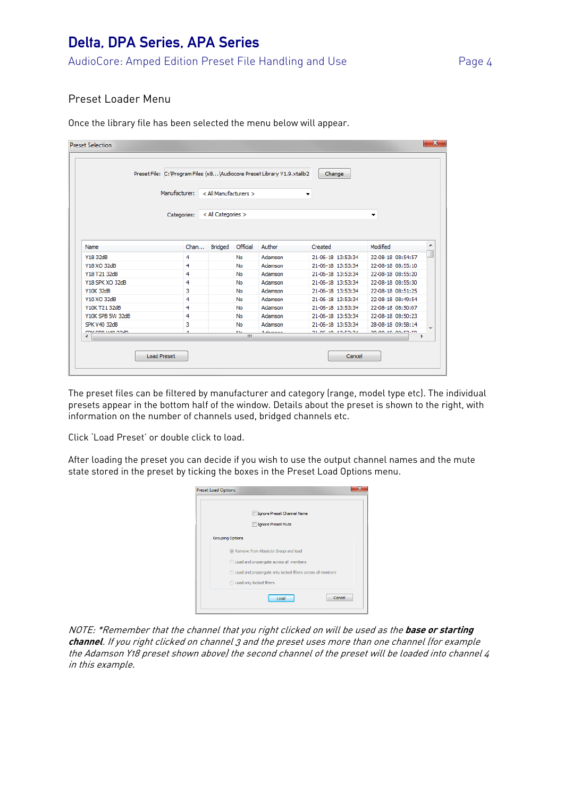### Delta, DPA Series, APA Series AudioCore: Amped Edition Preset File Handling and Use Page 4

#### Preset Loader Menu

Once the library file has been selected the menu below will appear.

|                    | Preset File: C: \Program Files (x8 \Audiocore Preset Library V1.9.xtalib2 |                       |                |                   | Change            |                   |   |
|--------------------|---------------------------------------------------------------------------|-----------------------|----------------|-------------------|-------------------|-------------------|---|
|                    | Manufacturer:                                                             | < All Manufacturers > |                |                   |                   |                   |   |
|                    |                                                                           |                       |                |                   | ▼                 |                   |   |
|                    |                                                                           |                       |                |                   |                   |                   |   |
|                    | Categories:                                                               | < All Categories >    |                |                   |                   | ۰                 |   |
|                    |                                                                           |                       |                |                   |                   |                   |   |
|                    |                                                                           |                       |                |                   |                   |                   |   |
| Name               | Chan                                                                      | <b>Bridged</b>        | Official       | Author            | Created           | Modified          | ▲ |
| Y18 32dB           | 4                                                                         |                       | No             | Adamson           | 21-06-18 13:53:34 | 22-08-18 08:54:57 |   |
| Y18 XO 32dB        | 4                                                                         |                       | No             | Adamson           | 21-06-18 13:53:34 | 22-08-18 08:55:10 |   |
| Y18 T21 32dB       | 4                                                                         |                       | No             | Adamson           | 21-06-18 13:53:34 | 22-08-18 08:55:20 |   |
| Y18 SPK XO 32dB    | 4                                                                         |                       | No             | Adamson           | 21-06-18 13:53:34 | 22-08-18 08:55:30 |   |
| Y10K 32dB          | з                                                                         |                       | No             | Adamson           | 21-06-18 13:53:34 | 22-08-18 08:51:25 |   |
| Y10 XO 32dB        | 4                                                                         |                       | No             | Adamson           | 21-06-18 13:53:34 | 22-08-18 08:49:54 |   |
| Y10K T21 32dB      | 4                                                                         |                       | <b>No</b>      | Adamson           | 21-06-18 13:53:34 | 22-08-18 08:50:07 |   |
| Y10K SPB 5W 32dB   | 4                                                                         |                       | No             | Adamson           | 21-06-18 13:53:34 | 22-08-18 08:50:23 |   |
| SPK V40 32dB       | 3                                                                         |                       | <b>No</b>      | Adamson           | 21-06-18 13:53:34 | 28-08-18 09:58:14 |   |
| CDIZ CDD MAD 22-40 | ×                                                                         |                       | M <sub>L</sub> | المستحدث والمراقة | 53.06.30.35-F5-54 | 30.00.30.00-FS-FG |   |
| ∢                  |                                                                           |                       | m.             |                   |                   |                   |   |

The preset files can be filtered by manufacturer and category (range, model type etc). The individual presets appear in the bottom half of the window. Details about the preset is shown to the right, with information on the number of channels used, bridged channels etc.

Click 'Load Preset' or double click to load.

After loading the preset you can decide if you wish to use the output channel names and the mute state stored in the preset by ticking the boxes in the Preset Load Options menu.

| Ignore Preset Channel Name                                   |
|--------------------------------------------------------------|
| <b>Ignore Preset Mute</b>                                    |
| <b>Grouping Options</b>                                      |
| (@) Remove from Absolute Group and load                      |
| Load and propergate across all members                       |
| C Load and propergate only locked filters across all members |
| Load only locked filters                                     |

NOTE: \*Remember that the channel that you right clicked on will be used as the **base or starting channel**. If you right clicked on channel 3 and the preset uses more than one channel (for example the Adamson Y18 preset shown above) the second channel of the preset will be loaded into channel 4 in this example.